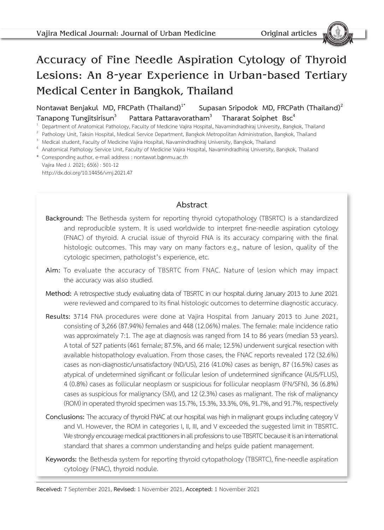# Accuracy of Fine Needle Aspiration Cytology of Thyroid Lesions: An 8-year Experience in Urban-based Tertiary Medical Center in Bangkok, Thailand

Nontawat Benjakul MD, FRCPath (Thailand)<sup>1\*</sup> Supasan Sripodok MD, FRCPath (Thailand)<sup>2</sup> **Tanapong Tungjitsirisun<sup>3</sup> Pattara Pattaravoratham<sup>3</sup> Thararat Soiphet Bsc<sup>4</sup><br><sup>1</sup> Department of Anatomical Pathology, Faculty of Medicine Vajira Hospital, Navamindradhiraj University, Bangkok, Thailand** 

<sup>2</sup> Pathology Unit, Taksin Hospital, Medical Service Department, Bangkok Metropolitan Administration, Bangkok, Thailand<br><sup>3</sup> Medical student, Faculty of Medicine Vajira Hospital, Navamindradhiraj University, Bangkok, Thaila

- 
- \* Corresponding author, e-mail address : nontawat.b@nmu.ac.th Vajira Med J. 2021; 65(6) : 501-12 http://dx.doi.org/10.14456/vmj.2021.47

# **Abstract**

- **Background:** The Bethesda system for reporting thyroid cytopathology (TBSRTC) is a standardized and reproducible system. It is used worldwide to interpret fine-needle aspiration cytology (FNAC) of thyroid. A crucial issue of thyroid FNA is its accuracy comparing with the final histologic outcomes. This may vary on many factors e.g., nature of lesion, quality of the cytologic specimen, pathologist's experience, etc.
- **Aim:** To evaluate the accuracy of TBSRTC from FNAC. Nature of lesion which may impact the accuracy was also studied.
- **Method:** A retrospective study evaluating data of TBSRTC in our hospital during January 2013 to June 2021 were reviewed and compared to its final histologic outcomes to determine diagnostic accuracy.
- **Results:** 3714 FNA procedures were done at Vajira Hospital from January 2013 to June 2021, consisting of 3,266 (87.94%) females and 448 (12.06%) males. The female: male incidence ratio was approximately 7:1. The age at diagnosis was ranged from 14 to 86 years (median 53 years). A total of 527 patients (461 female; 87.5%, and 66 male; 12.5%) underwent surgical resection with available histopathology evaluation. From those cases, the FNAC reports revealed 172 (32.6%) cases as non-diagnostic/unsatisfactory (ND/US), 216 (41.0%) cases as benign, 87 (16.5%) cases as atypical of undetermined significant or follicular lesion of undetermined significance (AUS/FLUS), 4 (0.8%) cases as follicular neoplasm or suspicious for follicular neoplasm (FN/SFN), 36 (6.8%) cases as suspicious for malignancy (SM), and 12 (2.3%) cases as malignant. The risk of malignancy (ROM) in operated thyroid specimen was 15.7%, 15.3%, 33.3%, 0%, 91.7%, and 91.7%, respectively
- **Conclusions:** The accuracy of thyroid FNAC at our hospital was high in malignant groups including category V and VI. However, the ROM in categories I, II, III, and V exceeded the suggested limit in TBSRTC. We strongly encourage medical practitioners in all professions to use TBSRTC because it is an international standard that shares a common understanding and helps guide patient management.
- **Keywords:** the Bethesda system for reporting thyroid cytopathology (TBSRTC), fine-needle aspiration cytology (FNAC), thyroid nodule.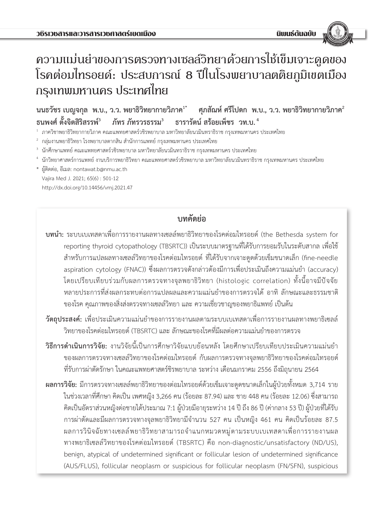# ความแม่นย�ำของการตรวจทางเซลล์วิทยาด้วยการใช้เข็มเจาะดูดของ โรคต่อมไทรอยด์: ประสบการณ์ 8 ปีในโรงพยาบาลตติยภูมิเขตเมือง กรุงเทพมหานคร ประเทศไทย

**นนธวัชร เบญจกุล พ.บ., ว.ว. พยาธิวิทยากายวิภาค1\* ศุภสัณห์ ศรีโปดก พ.บ., ว.ว. พยาธิวิทยากายวิภาค<sup>2</sup> ธนพงศ์ ตั้งจิตสิริสรรพ์<sup>3</sup> ภัทร ภัทรวรธรรม<sup>3</sup> ธารารัตน์ สร้อยเพ็ชร วท.บ.<sup>4</sup>**

 $^{\rm 1}$  ภาควิชาพยาธิวิทยากายวิภาค คณะแพทยศาสตร์วชิรพยาบาล มหาวิทยาลัยนวมินทราธิราช กรุงเทพมหานคร ประเทศไทย

 $^{\circ}$  กลุ่มงานพยาธิวิทยา โรงพยาบาลตากสิน สำนักการแพทย์ กรุงเทพมหานคร ประเทศไทย

- $^{\text{3}}$  นักศึกษาแพทย์ คณะแพทยศาสตร์วชิรพยาบาล มหาวิทยาลัยนวมินทราธิราช กรุงเทพมหานคร ประเทศไทย
- <sup>4</sup> นักวิทยาศาสตร์การแพทย์ งานบริการพยาธิวิทยา คณะแพทยศาสตร์วชิรพยาบาล มหาวิทยาลัยนวมินทราธิราช กรุงเทพมหานคร ประเทศไทย
- \* ผู้ติดต่อ, อีเมล: nontawat.b@nmu.ac.th Vajira Med J. 2021; 65(6) : 501-12 http://dx.doi.org/10.14456/vmj.2021.47

**บทคัดย่อ**

- **บทน�ำ:** ระบบเบเทสดาเพื่อการรายงานผลทางเซลล์พยาธิวิทยาของโรคต่อมไทรอยด์ (the Bethesda system for reporting thyroid cytopathology (TBSRTC)) เป็นระบบมาตรฐานที่ได้รับการยอมรับในระดับสากล เพื่อใช้ ส�ำหรับการแปลผลทางเซลล์วิทยาของโรคต่อมไทรอยด์ ที่ได้รับจากเจาะดูดด้วยเข็มขนาดเล็ก (fine-needle aspiration cytology (FNAC)) ซึ่งผลการตรวจดังกล่าวต้องมีการเพื่อประเมินถึงความแม่นยำ (accuracy) โดยเปรียบเทียบร่วมกับผลการตรวจทางจุลพยาธิวิทยา (histologic correlation) ทั้งนี้อาจมีปัจจัย หลายประการที่ส่งผลกระทบต่อการแปลผลและความแม่นยำของการตรวจได้ อาทิ ลักษณะและธรรมชาติ ของโรค คุณภาพของสิ่งส่งตรวจทางเซลล์วิทยา และ ความเชี่ยวชาญของพยาธิแพทย์ เป็นต้น
- **วัตถุประสงค์:** เพื่อประเมินความแม่นยำของการรายงานผลตามระบบเบเทสดาเพื่อการรายงานผลทางพยาธิเซลล์ วิทยาของโรคต่อมไทรอยด์ (TBSRTC) และ ลักษณะของโรคที่มีผลต่อความแม่นยำของการตรวจ
- ี **วิธีการดำเนินการวิจัย:** งานวิจัยนี้เป็นการศึกษาวิจัยแบบย้อนหลัง โดยศึกษาเปรียบเทียบประเมินความแม่นยำ ของผลการตรวจทางเซลล์วิทยาของโรคต่อมไทรอยด์ กับผลการตรวจทางจุลพยาธิวิทยาของโรคต่อมไทรอยด์ ที่รับการผ่าตัดรักษา ในคณะแพทยศาสตร์ชิรพยาบาล ระหว่าง เดือนมกราคม 2556 ถึงมิถุนายน 2564
- **ผลการวิจัย:** มีการตรวจทางเซลล์พยาธิวิทยาของต่อมไทรอยด์ด้วยเข็มเจาะดูดขนาดเล็กในผู้ป่วยทั้งหมด 3,714 ราย ในช่วงเวลาที่ศึกษา คิดเป็น เพศหญิง 3,266 คน (ร้อยละ 87.94) และ ชาย 448 คน (ร้อยละ 12.06) ซึ่งสามารถ คิดเป็นอัตราส่วนหญิงต่อชายได้ประมาณ 7:1 ผู้ป่วยมีอายุระหว่าง 14 ปี ถึง 86 ปี (ค่ากลาง 53 ปี) ผู้ป่วยที่ได้รับ การผ่าตัดและมีผลการตรวจทางจุลพยาธิวิทยามีจำนวน 527 คน เป็นหญิง 461 คน คิดเป็นร้อยละ 87.5 ผลการวินิจฉัยทางเซลล์พยาธิวิทยาสามารถจ�ำแนกหมวดหมู่ตามระบบเบเทสดาเพื่อการรายงานผล ทางพยาธิเซลล์วิทยาของโรคต่อมไทรอยด์ (TBSRTC) คือ non-diagnostic/unsatisfactory (ND/US), benign, atypical of undetermined significant or follicular lesion of undetermined significance (AUS/FLUS), follicular neoplasm or suspicious for follicular neoplasm (FN/SFN), suspicious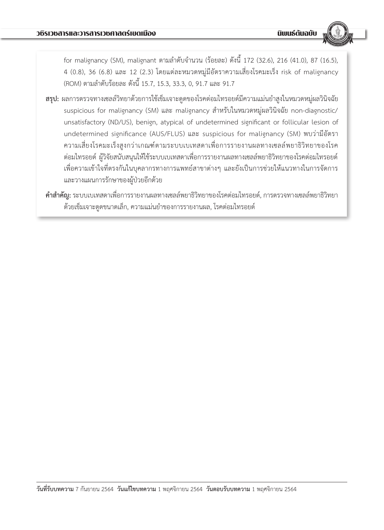for malignancy (SM), malignant ตามล�ำดับจ�ำนวน (ร้อยละ) ดังนี้ 172 (32.6), 216 (41.0), 87 (16.5), 4 (0.8), 36 (6.8) และ 12 (2.3) โดยแต่ละหมวดหมู่มีอัตราความเสี่ยงโรคมะเร็ง risk of malignancy (ROM) ตามล�ำดับร้อยละ ดังนี้ 15.7, 15.3, 33.3, 0, 91.7 และ 91.7

- ี **สรุป:** ผลการตรวจทางเซลล์วิทยาด้วยการใช้เข็มเจาะดูดของโรคต่อมไทรอยด์มีความแม่นยำสูงในหมวดหมู่ผลวินิจฉัย suspicious for malignancy (SM) และ malignancy ส�ำหรับในหมวดหมู่ผลวินิจฉัย non-diagnostic/ unsatisfactory (ND/US), benign, atypical of undetermined significant or follicular lesion of undetermined significance (AUS/FLUS) และ suspicious for malignancy (SM) พบว่ามีอัตรา ความเสี่ยงโรคมะเร็งสูงกว่าเกณฑ์ตามระบบเบเทสดาเพื่อการรายงานผลทางเซลล์พยาธิวิทยาของโรค ต่อมไทรอยด์ ผู้วิจัยสนับสนุนให้ใช้ระบบเบเทสดาเพื่อการรายงานผลทางเซลล์พยาธิวิทยาของโรคต่อมไทรอยด์ เพื่อความเข้าใจที่ตรงกันในบุคลากรทางการแพทย์สาขาต่างๆ และยังเป็นการช่วยให้แนวทางในการจัดการ และวางแผนการรักษาของผู้ป่วยอีกด้วย
- **ค�ำส�ำคัญ:** ระบบเบเทสดาเพื่อการรายงานผลทางเซลล์พยาธิวิทยาของโรคต่อมไทรอยด์, การตรวจทางเซลล์พยาธิวิทยา ด้วยเข็มเจาะดูดขนาดเล็ก, ความแม่นยำของการรายงานผล, โรคต่อมไทรอยด์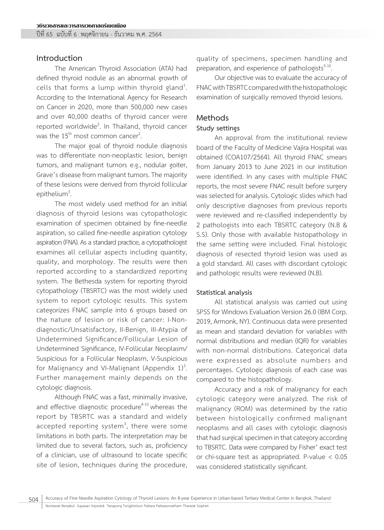#### **Introduction**

The American Thyroid Association (ATA) had defined thyroid nodule as an abnormal growth of cells that forms a lump within thyroid gland<sup>1</sup>. . According to the International Agency for Research on Cancer in 2020, more than 500,000 new cases and over 40,000 deaths of thyroid cancer were reported worldwide<sup>2</sup>. In Thailand, thyroid cancer was the  $15<sup>th</sup>$  most common cancer<sup>2</sup>.

. The major goal of thyroid nodule diagnosis was to differentiate non-neoplastic lesion, benign tumors, and malignant tumors e.g., nodular goiter, Grave's disease from malignant tumors. The majority of these lesions were derived from thyroid follicular epithelium $3$ . .

The most widely used method for an initial diagnosis of thyroid lesions was cytopathologic examination of specimen obtained by fine-needle aspiration, so called fine-needle aspiration cytology aspiration (FNA). As a standard practice, a cytopathologist examines all cellular aspects including quantity, quality, and morphology. The results were then reported according to a standardized reporting system. The Bethesda system for reporting thyroid cytopathology (TBSRTC) was the most widely used system to report cytologic results. This system categorizes FNAC sample into 6 groups based on the nature of lesion or risk of cancer: I-Nondiagnostic/Unsatisfactory, II-Benign, III-Atypia of Undetermined Significance/Follicular Lesion of Undetermined Significance, IV-Follicular Neoplasm/ Suspicious for a Follicular Neoplasm, V-Suspicious for Malignancy and VI-Malignant (Appendix  $1)^3$ . . Further management mainly depends on the cytologic diagnosis.

Although FNAC was a fast, minimally invasive, and effective diagnostic procedure $4-10$  whereas the report by TBSRTC was a standard and widely accepted reporting system<sup>3</sup>, there were some limitations in both parts. The interpretation may be limited due to several factors, such as, proficiency of a clinician, use of ultrasound to locate specific site of lesion, techniques during the procedure,

quality of specimens, specimen handling and preparation, and experience of pathologists<sup>5-10</sup>.<br>Our objective was to evaluate the accuracy of

FNAC with TBSRTC compared with the histopathologic examination of surgically removed thyroid lesions.

# **Methods**

#### **Study settings**

An approval from the institutional review board of the Faculty of Medicine Vajira Hospital was obtained (COA107/2564). All thyroid FNAC smears from January 2013 to June 2021 in our institution were identified. In any cases with multiple FNAC reports, the most severe FNAC result before surgery was selected for analysis. Cytologic slides which had only descriptive diagnoses from previous reports were reviewed and re-classified independently by 2 pathologists into each TBSRTC category (N.B & S.S). Only those with available histopathology in the same setting were included. Final histologic diagnosis of resected thyroid lesion was used as a gold standard. All cases with discordant cytologic and pathologic results were reviewed (N.B).

#### **Statistical analysis**

All statistical analysis was carried out using SPSS for Windows Evaluation Version 26.0 (IBM Corp. 2019, Armonk, NY). Continuous data were presented as mean and standard deviation for variables with normal distributions and median (IQR) for variables with non-normal distributions. Categorical data were expressed as absolute numbers and percentages. Cytologic diagnosis of each case was compared to the histopathology.

Accuracy and a risk of malignancy for each cytologic category were analyzed. The risk of malignancy (ROM) was determined by the ratio between histologically confirmed malignant neoplasms and all cases with cytologic diagnosis that had surgical specimen in that category according to TBSRTC. Data were compared by Fisher' exact test or chi-square test as appropriated. P-value < 0.05 was considered statistically significant.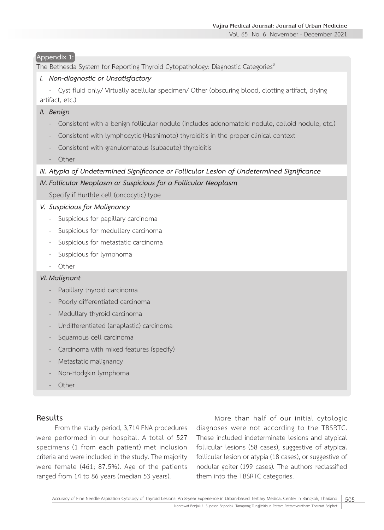Vol. 65 No. 6 November - December 2021

#### **Appendix 1:**

The Bethesda System for Reporting Thyroid Cytopathology: Diagnostic Categories<sup>3</sup>

#### *I. Non-diagnostic or Unsatisfactory*

- Cyst fluid only/ Virtually acellular specimen/ Other (obscuring blood, clotting artifact, drying artifact, etc.)

#### *II. Benign*

- Consistent with a benign follicular nodule (includes adenomatoid nodule, colloid nodule, etc.)
- Consistent with lymphocytic (Hashimoto) thyroiditis in the proper clinical context
- Consistent with granulomatous (subacute) thyroiditis
- Other

#### *III. Atypia of Undetermined Significance or Follicular Lesion of Undetermined Significance*

#### *IV. Follicular Neoplasm or Suspicious for a Follicular Neoplasm*

Specify if Hurthle cell (oncocytic) type

#### *V. Suspicious for Malignancy*

- Suspicious for papillary carcinoma
- Suspicious for medullary carcinoma
- Suspicious for metastatic carcinoma
- Suspicious for lymphoma
- Other

#### *VI. Malignant*

- Papillary thyroid carcinoma
- Poorly differentiated carcinoma
- Medullary thyroid carcinoma
- Undifferentiated (anaplastic) carcinoma
- Squamous cell carcinoma
- Carcinoma with mixed features (specify)
- Metastatic malignancy
- Non-Hodgkin lymphoma
- **Other**

#### **Results**

From the study period, 3,714 FNA procedures were performed in our hospital. A total of 527 specimens (1 from each patient) met inclusion criteria and were included in the study. The majority were female (461; 87.5%). Age of the patients ranged from 14 to 86 years (median 53 years).

More than half of our initial cytologic diagnoses were not according to the TBSRTC. These included indeterminate lesions and atypical follicular lesions (58 cases), suggestive of atypical follicular lesion or atypia (18 cases), or suggestive of nodular goiter (199 cases). The authors reclassified them into the TBSRTC categories.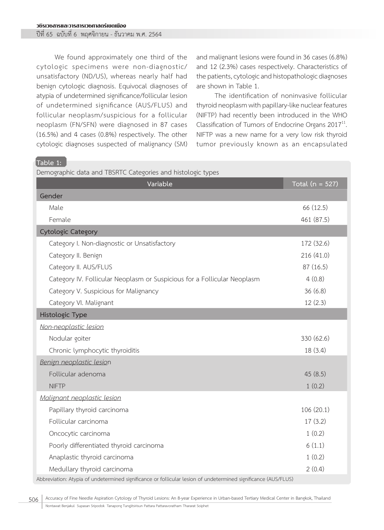ปีที่ 65 ฉบับที่ 6 พฤศจิกายน - ธันวาคม พ.ศ. 2564

We found approximately one third of the cytologic specimens were non-diagnostic/ unsatisfactory (ND/US), whereas nearly half had benign cytologic diagnosis. Equivocal diagnoses of atypia of undetermined significance/follicular lesion of undetermined significance (AUS/FLUS) and follicular neoplasm/suspicious for a follicular neoplasm (FN/SFN) were diagnosed in 87 cases (16.5%) and 4 cases (0.8%) respectively. The other cytologic diagnoses suspected of malignancy (SM) and malignant lesions were found in 36 cases (6.8%) and 12 (2.3%) cases respectively. Characteristics of the patients, cytologic and histopathologic diagnoses are shown in Table 1.

The identification of noninvasive follicular thyroid neoplasm with papillary-like nuclear features (NIFTP) had recently been introduced in the WHO<br>Classification of Tumors of Endocrine Organs 2017<sup>11</sup>. NIFTP was a new name for a very low risk thyroid tumor previously known as an encapsulated

#### **Table 1:**

Demographic data and TBSRTC Categories and histologic types

| Variable                                                                                                       | Total ( $n = 527$ ) |  |  |  |  |
|----------------------------------------------------------------------------------------------------------------|---------------------|--|--|--|--|
| Gender                                                                                                         |                     |  |  |  |  |
| Male                                                                                                           | 66 (12.5)           |  |  |  |  |
| Female                                                                                                         | 461 (87.5)          |  |  |  |  |
| <b>Cytologic Category</b>                                                                                      |                     |  |  |  |  |
| Category I. Non-diagnostic or Unsatisfactory                                                                   | 172 (32.6)          |  |  |  |  |
| Category II. Benign                                                                                            | 216 (41.0)          |  |  |  |  |
| Category II. AUS/FLUS                                                                                          | 87 (16.5)           |  |  |  |  |
| Category IV. Follicular Neoplasm or Suspicious for a Follicular Neoplasm                                       | 4(0.8)              |  |  |  |  |
| Category V. Suspicious for Malignancy                                                                          | 36(6.8)             |  |  |  |  |
| Category VI. Malignant                                                                                         | 12(2.3)             |  |  |  |  |
| Histologic Type                                                                                                |                     |  |  |  |  |
| Non-neoplastic lesion                                                                                          |                     |  |  |  |  |
| Nodular goiter                                                                                                 | 330 (62.6)          |  |  |  |  |
| Chronic lymphocytic thyroiditis                                                                                | 18 (3.4)            |  |  |  |  |
| Benign neoplastic lesion                                                                                       |                     |  |  |  |  |
| Follicular adenoma                                                                                             | 45(8.5)             |  |  |  |  |
| <b>NIFTP</b>                                                                                                   | 1(0.2)              |  |  |  |  |
| Malignant neoplastic lesion                                                                                    |                     |  |  |  |  |
| Papillary thyroid carcinoma                                                                                    | 106(20.1)           |  |  |  |  |
| Follicular carcinoma                                                                                           | 17(3.2)             |  |  |  |  |
| Oncocytic carcinoma                                                                                            | 1(0.2)              |  |  |  |  |
| Poorly differentiated thyroid carcinoma                                                                        | 6(1.1)              |  |  |  |  |
| Anaplastic thyroid carcinoma                                                                                   | 1(0.2)              |  |  |  |  |
| Medullary thyroid carcinoma                                                                                    | 2(0.4)              |  |  |  |  |
| Abbreviation: Atypia of undetermined significance or follicular lesion of undetermined significance (AUS/FLUS) |                     |  |  |  |  |

506 Accuracy of Fine Needle Aspiration Cytology of Thyroid Lesions: An 8-year Experience in Urban-based Tertiary Medical Center in Bangkok, Thailand Nontawat Benjakul Supasan Sripodok Tanapong Tungjitsirisun Pattara Pattaravoratham Thararat Soiphet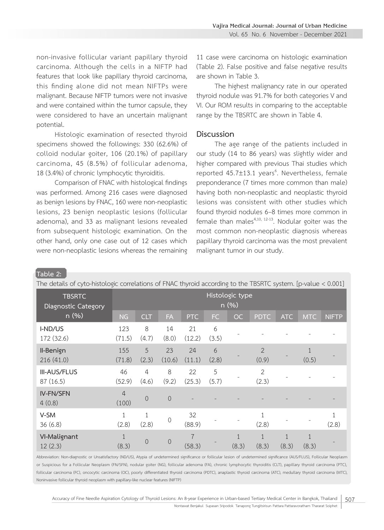non-invasive follicular variant papillary thyroid carcinoma. Although the cells in a NIFTP had features that look like papillary thyroid carcinoma, this finding alone did not mean NIFTPs were malignant. Because NIFTP tumors were not invasive and were contained within the tumor capsule, they were considered to have an uncertain malignant potential.

Histologic examination of resected thyroid specimens showed the followings: 330 (62.6%) of colloid nodular goiter, 106 (20.1%) of papillary carcinoma, 45 (8.5%) of follicular adenoma, 18 (3.4%) of chronic lymphocytic thyroiditis.

Comparison of FNAC with histological findings was performed. Among 216 cases were diagnosed as benign lesions by FNAC, 160 were non-neoplastic lesions, 23 benign neoplastic lesions (follicular adenoma), and 33 as malignant lesions revealed from subsequent histologic examination. On the other hand, only one case out of 12 cases which were non-neoplastic lesions whereas the remaining

11 case were carcinoma on histologic examination (Table 2). False positive and false negative results are shown in Table 3.

The highest malignancy rate in our operated thyroid nodule was 91.7% for both categories V and VI. Our ROM results in comparing to the acceptable range by the TBSRTC are shown in Table 4.

#### **Discussion**

The age range of the patients included in our study (14 to 86 years) was slightly wider and higher compared with previous Thai studies which reported 45.7±13.1 years<sup>6</sup>. Nevertheless, female preponderance (7 times more common than male) having both non-neoplastic and neoplastic thyroid lesions was consistent with other studies which found thyroid nodules 6–8 times more common in female than males $4,10, 12-13$ . Nodular goiter was the most common non-neoplastic diagnosis whereas papillary thyroid carcinoma was the most prevalent malignant tumor in our study.

#### **Table 2:**

| The details of cyto-histologic correlations of FNAC thyroid according to the TBSRTC system. [p-value < 0.001] |                         |                |                |              |            |           |                         |            |            |              |
|---------------------------------------------------------------------------------------------------------------|-------------------------|----------------|----------------|--------------|------------|-----------|-------------------------|------------|------------|--------------|
| <b>TBSRTC</b><br><b>Diagnostic Category</b>                                                                   | Histologic type<br>n(%) |                |                |              |            |           |                         |            |            |              |
| n (%)                                                                                                         | <b>NG</b>               | <b>CLT</b>     | <b>FA</b>      | <b>PTC</b>   | <b>FC</b>  | <b>OC</b> | <b>PDTC</b>             | <b>ATC</b> | <b>MTC</b> | <b>NIFTP</b> |
| I-ND/US<br>172 (32.6)                                                                                         | 123<br>(71.5)           | 8<br>(4.7)     | 14<br>(8.0)    | 21<br>(12.2) | 6<br>(3.5) |           |                         |            |            |              |
| II-Benign<br>216 (41.0)                                                                                       | 155<br>(71.8)           | 5<br>(2.3)     | 23<br>(10.6)   | 24<br>(11.1) | 6<br>(2.8) |           | $\mathfrak{D}$<br>(0.9) |            | (0.5)      |              |
| <b>III-AUS/FLUS</b><br>87 (16.5)                                                                              | 46<br>(52.9)            | 4<br>(4.6)     | 8<br>(9.2)     | 22<br>(25.3) | 5<br>(5.7) |           | $\overline{2}$<br>(2.3) |            |            |              |
| IV-FN/SFN<br>4(0.8)                                                                                           | 4<br>(100)              | $\overline{0}$ | $\overline{0}$ |              |            |           |                         |            |            |              |
| V-SM<br>36(6.8)                                                                                               | (2.8)                   | $1\,$<br>(2.8) | 0              | 32<br>(88.9) |            |           | 1<br>(2.8)              |            |            | (2.8)        |
| VI-Malignant<br>12(2.3)                                                                                       | (8.3)                   | $\overline{0}$ | $\overline{0}$ | 7<br>(58.3)  |            | (8.3)     | 1<br>(8.3)              | 1<br>(8.3) | 1<br>(8.3) |              |

Abbreviation: Non-diagnostic or Unsatisfactory (ND/US), Atypia of undetermined significance or follicular lesion of undetermined significance (AUS/FLUS), Follicular Neoplasm or Suspicious for a Follicular Neoplasm (FN/SFN), nodular goiter (NG), follicular adenoma (FA), chronic lymphocytic thyroiditis (CLT), papillary thyroid carcinoma (PTC), follicular carcinoma (FC), oncocytic carcinoma (OC), poorly differentiated thyroid carcinoma (PDTC), anaplastic thyroid carcinoma (ATC), medullary thyroid carcinoma (MTC), Noninvasive follicular thyroid neoplasm with papillary-like nuclear features (NIFTP)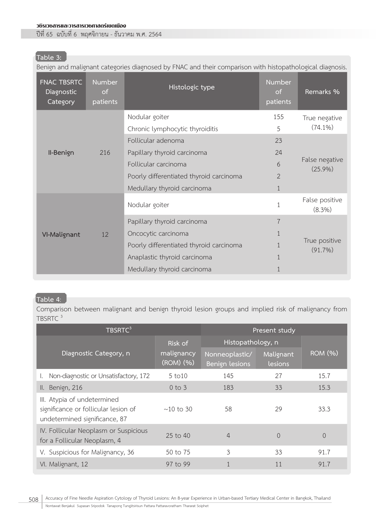#### วชิรเวชสารและวารสารเวชศาสตร์เขตเมือง

ปีที่ 65 ฉบับที่ 6 พฤศจิกายน - ธันวาคม พ.ศ. 2564

# **Table 3:**

Benign and malignant categories diagnosed by FNAC and their comparison with histopathological diagnosis.

| <b>FNAC TBSRTC</b><br>Diagnostic<br>Category | <b>Number</b><br>of<br>patients | <b>Histologic type</b>                  | Number<br>of.<br>patients | Remarks %                    |  |  |  |
|----------------------------------------------|---------------------------------|-----------------------------------------|---------------------------|------------------------------|--|--|--|
|                                              |                                 | Nodular goiter                          | 155                       | True negative                |  |  |  |
|                                              |                                 | Chronic lymphocytic thyroiditis         | 5                         | $(74.1\%)$                   |  |  |  |
|                                              |                                 | Follicular adenoma                      | 23                        |                              |  |  |  |
| II-Benign                                    | 216                             | Papillary thyroid carcinoma             | 24                        |                              |  |  |  |
|                                              |                                 | Follicular carcinoma                    | 6                         | False negative<br>$(25.9\%)$ |  |  |  |
|                                              |                                 | Poorly differentiated thyroid carcinoma | $\overline{2}$            |                              |  |  |  |
|                                              |                                 | Medullary thyroid carcinoma             | $\mathbf{1}$              |                              |  |  |  |
| VI-Malignant                                 | 12                              | Nodular goiter                          | $1\,$                     | False positive<br>(8.3%)     |  |  |  |
|                                              |                                 | Papillary thyroid carcinoma             | $\overline{7}$            |                              |  |  |  |
|                                              |                                 | Oncocytic carcinoma                     | 1                         |                              |  |  |  |
|                                              |                                 | Poorly differentiated thyroid carcinoma |                           | True positive<br>$(91.7\%)$  |  |  |  |
|                                              |                                 | Anaplastic thyroid carcinoma            |                           |                              |  |  |  |
|                                              |                                 | Medullary thyroid carcinoma             | 1                         |                              |  |  |  |

## **Table 4**:

Comparison between malignant and benign thyroid lesion groups and implied risk of malignancy from TBSRTC<sup>3</sup>

| TBSRTC <sup>3</sup>                                                                                  | Present study           |                                  |                      |                             |  |
|------------------------------------------------------------------------------------------------------|-------------------------|----------------------------------|----------------------|-----------------------------|--|
|                                                                                                      | Risk of                 | Histopathology, n                |                      |                             |  |
| Diagnostic Category, n                                                                               | malignancy<br>(ROM) (%) | Nonneoplastic/<br>Benign lesions | Malignant<br>lesions | $\overline{\text{ROM}(\%)}$ |  |
| Non-diagnostic or Unsatisfactory, 172                                                                | 5~to10                  | 145                              | 27                   | 15.7                        |  |
| II. Benign, 216                                                                                      | $0$ to $3$              | 183                              | 33                   | 15.3                        |  |
| III. Atypia of undetermined<br>significance or follicular lesion of<br>undetermined significance, 87 | $\sim$ 10 to 30         | 58                               | 29                   | 33.3                        |  |
| IV. Follicular Neoplasm or Suspicious<br>for a Follicular Neoplasm, 4                                | 25 to 40                | 4                                | 0                    | $\Omega$                    |  |
| V. Suspicious for Malignancy, 36                                                                     | 50 to 75                | 3                                | 33                   | 91.7                        |  |
| VI. Malignant, 12                                                                                    | 97 to 99                |                                  | 11                   | 91.7                        |  |

508 Accuracy of Fine Needle Aspiration Cytology of Thyroid Lesions: An 8-year Experience in Urban-based Tertiary Medical Center in Bangkok, Thailand Nontawat Benjakul Supasan Sripodok Tanapong Tungjitsirisun Pattara Pattaravoratham Thararat Soiphet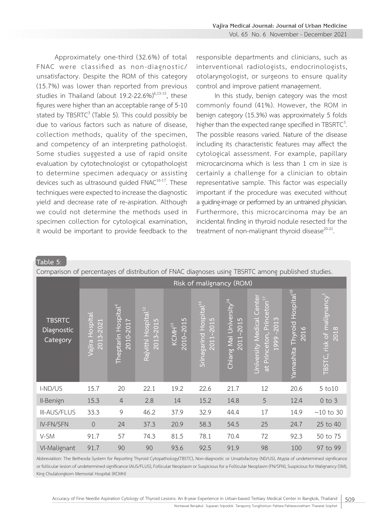Approximately one-third (32.6%) of total FNAC were classified as non-diagnostic/ unsatisfactory. Despite the ROM of this category (15.7%) was lower than reported from previous studies in Thailand (about  $19.2$ -22.6%)<sup>6,13-15</sup>, these figures were higher than an acceptable range of 5-10 stated by  $TBSRTC^3$  (Table 5). This could possibly be due to various factors such as nature of disease, collection methods, quality of the specimen, and competency of an interpreting pathologist. Some studies suggested a use of rapid onsite evaluation by cytotechnologist or cytopathologist to determine specimen adequacy or assisting devices such as ultrasound guided FNAC<sup>16-17</sup>. These techniques were expected to increase the diagnostic yield and decrease rate of re-aspiration. Although we could not determine the methods used in specimen collection for cytological examination, it would be important to provide feedback to the

responsible departments and clinicians, such as interventional radiologists, endocrinologists, otolaryngologist, or surgeons to ensure quality control and improve patient management.

In this study, benign category was the most commonly found (41%). However, the ROM in benign category (15.3%) was approximately 5 folds higher than the expected range specified in TBSRTC $3$ . The possible reasons varied. Nature of the disease including its characteristic features may affect the cytological assessment. For example, papillary microcarcinoma which is less than 1 cm in size is certainly a challenge for a clinician to obtain representative sample. This factor was especially important if the procedure was executed without a guiding-image or performed by an untrained physician. Furthermore, this microcarcinoma may be an incidental finding in thyroid nodule resected for the treatment of non-malignant thyroid disease $20-21$ .

**Table 5**:

Comparison of percentages of distribution of FNAC diagnoses using TBSRTC among published studies.

| companion or percentages or alsenbation or nime alagnoses asing nosinic annong papalsnea staales. |                                 |                                              |                                              |                                 |                                                 |                                                        |                                                                                                      |                                                        |                                                            |
|---------------------------------------------------------------------------------------------------|---------------------------------|----------------------------------------------|----------------------------------------------|---------------------------------|-------------------------------------------------|--------------------------------------------------------|------------------------------------------------------------------------------------------------------|--------------------------------------------------------|------------------------------------------------------------|
|                                                                                                   |                                 | Risk of malignancy (ROM)                     |                                              |                                 |                                                 |                                                        |                                                                                                      |                                                        |                                                            |
| <b>TBSRTC</b><br>Diagnostic<br>Category                                                           | Hospital<br>2013-2021<br>Vajira | Theptarin Hospital <sup>6</sup><br>2010-2017 | Rajvithi Hospital <sup>12</sup><br>2013-2015 | 2010-2015<br>KCMH <sup>13</sup> | Srinagarind Hospital <sup>14</sup><br>2011-2015 | Chiang Mai University <sup>14</sup><br>$-2015$<br>2011 | Center<br>$c$ eton $^{17}$<br><b>Jniversity Medical</b><br>Princ<br>$-2013$<br>at Princeton,<br>1999 | Hospital <sup>18</sup><br>Thyroid<br>2016<br>Yamashita | $\overline{\text{TSTC}}$ , risk of malignancy $^3$<br>2018 |
| I-ND/US                                                                                           | 15.7                            | 20                                           | 22.1                                         | 19.2                            | 22.6                                            | 21.7                                                   | 12                                                                                                   | 20.6                                                   | 5 to 10                                                    |
| II-Benign                                                                                         | 15.3                            | $\overline{4}$                               | 2.8                                          | 14                              | 15.2                                            | 14.8                                                   | 5                                                                                                    | 12.4                                                   | $0$ to $3$                                                 |
| <b>III-AUS/FLUS</b>                                                                               | 33.3                            | $\mathcal{G}$                                | 46.2                                         | 37.9                            | 32.9                                            | 44.4                                                   | 17                                                                                                   | 14.9                                                   | $\sim\!\!10$ to $30$                                       |
| IV-FN/SFN                                                                                         | $\overline{0}$                  | 24                                           | 37.3                                         | 20.9                            | 58.3                                            | 54.5                                                   | 25                                                                                                   | 24.7                                                   | 25 to 40                                                   |
| V-SM                                                                                              | 91.7                            | 57                                           | 74.3                                         | 81.5                            | 78.1                                            | 70.4                                                   | 72                                                                                                   | 92.3                                                   | 50 to 75                                                   |
| VI-Malignant                                                                                      | 91.7                            | 90                                           | 90                                           | 93.6                            | 92.5                                            | 91.9                                                   | 98                                                                                                   | 100                                                    | 97 to 99                                                   |

Abbreviation: The Bethesda System for Reporting Thyroid Cytopathology(TBSTC), Non-diagnostic or Unsatisfactory (ND/US), Atypia of undetermined significance or follicular lesion of undetermined significance (AUS/FLUS), Follicular Neoplasm or Suspicious for a Follicular Neoplasm (FN/SFN), Suspicious for Malignancy (SM), King Chulalongkorn Memorial Hospital (KCMH)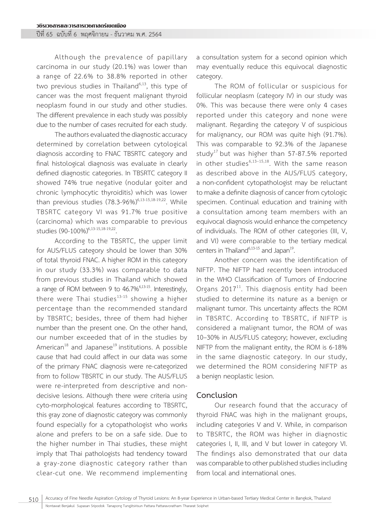ปีที่ 65 ฉบับที่ 6 พฤศจิกายน - ธันวาคม พ.ศ. 2564

Although the prevalence of papillary carcinoma in our study (20.1%) was lower than a range of 22.6% to 38.8% reported in other two previous studies in Thailand $6,13$ , this type of cancer was the most frequent malignant thyroid neoplasm found in our study and other studies. The different prevalence in each study was possibly due to the number of cases recruited for each study.

The authors evaluated the diagnostic accuracy determined by correlation between cytological diagnosis according to FNAC TBSRTC category and final histological diagnosis was evaluate in clearly defined diagnostic categories. In TBSRTC category II showed 74% true negative (nodular goiter and chronic lymphocytic thyroiditis) which was lower than previous studies  $(78.3-96\%)^{6,13-15,18-19,22}$ . While TBSRTC category VI was 91.7% true positive (carcinoma) which was comparable to previous studies (90-100%)<sup>6,13-15,18-19,22</sup>.

According to the TBSRTC, the upper limit for AUS/FLUS category should be lower than 30% of total thyroid FNAC. A higher ROM in this category in our study (33.3%) was comparable to data from previous studies in Thailand which showed a range of ROM between 9 to 46.7%6,13-15. Interestingly, there were Thai studies $13-15$  showing a higher percentage than the recommended standard by TBSRTC; besides, three of them had higher number than the present one. On the other hand, our number exceeded that of in the studies by American $18$  and Japanese<sup>19</sup> institutions. A possible cause that had could affect in our data was some of the primary FNAC diagnosis were re-categorized from to follow TBSRTC in our study. The AUS/FLUS were re-interpreted from descriptive and nondecisive lesions. Although there were criteria using cyto-morphological features according to TBSRTC, this gray zone of diagnostic category was commonly found especially for a cytopathologist who works alone and prefers to be on a safe side. Due to the higher number in Thai studies, these might imply that Thai pathologists had tendency toward a gray-zone diagnostic category rather than clear-cut one. We recommend implementing

a consultation system for a second opinion which may eventually reduce this equivocal diagnostic category.

The ROM of follicular or suspicious for follicular neoplasm (category IV) in our study was 0%. This was because there were only 4 cases reported under this category and none were malignant. Regarding the category V of suspicious for malignancy, our ROM was quite high (91.7%). This was comparable to 92.3% of the Japanese study<sup>17</sup> but was higher than 57-87.5% reported in other studies<sup>6,13-15,18</sup>. With the same reason as described above in the AUS/FLUS category, a non-confident cytopathologist may be reluctant to make a definite diagnosis of cancer from cytologic specimen. Continual education and training with a consultation among team members with an equivocal diagnosis would enhance the competency of individuals. The ROM of other categories (III, V, and VI) were comparable to the tertiary medical centers in Thailand $6,13-15$  and Japan<sup>19</sup>.

Another concern was the identification of NIFTP. The NIFTP had recently been introduced in the WHO Classification of Tumors of Endocrine Organs  $2017^{11}$ . This diagnosis entity had been studied to determine its nature as a benign or malignant tumor. This uncertainty affects the ROM in TBSRTC. According to TBSRTC, if NIFTP is considered a malignant tumor, the ROM of was 10–30% in AUS/FLUS category; however, excluding NIFTP from the malignant entity, the ROM is 6-18% in the same diagnostic category. In our study, we determined the ROM considering NIFTP as a benign neoplastic lesion.

#### **Conclusion**

Our research found that the accuracy of thyroid FNAC was high in the malignant groups, including categories V and V. While, in comparison to TBSRTC, the ROM was higher in diagnostic categories I, II, III, and V but lower in category VI. The findings also demonstrated that our data was comparable to other published studies including from local and international ones.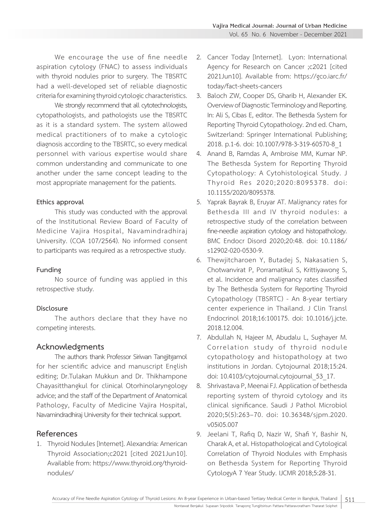We encourage the use of fine needle aspiration cytology (FNAC) to assess individuals with thyroid nodules prior to surgery. The TBSRTC had a well-developed set of reliable diagnostic criteria for examining thyroid cytologic characteristics.

We strongly recommend that all cytotechnologists, cytopathologists, and pathologists use the TBSRTC as it is a standard system. The system allowed medical practitioners of to make a cytologic diagnosis according to the TBSRTC, so every medical personnel with various expertise would share common understanding and communicate to one another under the same concept leading to the most appropriate management for the patients.

### **Ethics approval**

This study was conducted with the approval of the Institutional Review Board of Faculty of Medicine Vajira Hospital, Navamindradhiraj University. (COA 107/2564). No informed consent to participants was required as a retrospective study.

## **Funding**

No source of funding was applied in this retrospective study.

## **Disclosure**

The authors declare that they have no competing interests.

# **Acknowledgments**

The authors thank Professor Siriwan Tangjitgamol for her scientific advice and manuscript English editing; Dr.Tulakan Mukkun and Dr. Thikhampone Chayasitthangkul for clinical Otorhinolaryngology advice; and the staff of the Department of Anatomical Pathology, Faculty of Medicine Vajira Hospital, Navamindradhiraj University for their technical support.

# **References**

1. Thyroid Nodules [Internet]. Alexandria: American Thyroid Association;c2021 [cited 2021Jun10]. Available from: https://www.thyroid.org/thyroidnodules/

- 2. Cancer Today [Internet]. Lyon: International Agency for Research on Cancer ;c2021 [cited 2021Jun10]. Available from: https://gco.iarc.fr/ today/fact-sheets-cancers
- 3. Baloch ZW, Cooper DS, Gharib H, Alexander EK. Overview of Diagnostic Terminology and Reporting. In: Ali S, Cibas E, editor. The Bethesda System for Reporting Thyroid Cytopathology. 2nd ed. Cham, Switzerland: Springer International Publishing; 2018. p.1-6. doi: 10.1007/978-3-319-60570-8\_1
- 4. Anand B, Ramdas A, Ambroise MM, Kumar NP. The Bethesda System for Reporting Thyroid Cytopathology: A Cytohistological Study. J Thyroid Res 2020;2020:8095378. doi: 10.1155/2020/8095378.
- 5. Yaprak Bayrak B, Eruyar AT. Malignancy rates for Bethesda III and IV thyroid nodules: a retrospective study of the correlation between fine-needle aspiration cytology and histopathology. BMC Endocr Disord 2020;20:48. doi: 10.1186/ s12902-020-0530-9.
- 6. Thewjitcharoen Y, Butadej S, Nakasatien S, Chotwanvirat P, Porramatikul S, Krittiyawong S, et al. Incidence and malignancy rates classified by The Bethesda System for Reporting Thyroid Cytopathology (TBSRTC) - An 8-year tertiary center experience in Thailand. J Clin Transl Endocrinol 2018;16:100175. doi: 10.1016/j.jcte. 2018.12.004.
- 7. Abdullah N, Hajeer M, Abudalu L, Sughayer M. Correlation study of thyroid nodule cytopathology and histopathology at two institutions in Jordan. Cytojournal 2018;15:24. doi: 10.4103/cytojournal.cytojournal\_53\_17.
- 8. Shrivastava P, Meenai FJ. Application of bethesda reporting system of thyroid cytology and its clinical significance. Saudi J Pathol Microbiol 2020;5(5):263–70. doi: 10.36348/sjpm.2020. v05i05.007
- 9. Jeelani T, Rafiq D, Nazir W, Shafi Y, Bashir N, Charak A, et al. Histopathological and Cytological Correlation of Thyroid Nodules with Emphasis on Bethesda System for Reporting Thyroid CytologyA 7 Year Study. IJCMR 2018;5:28-31.